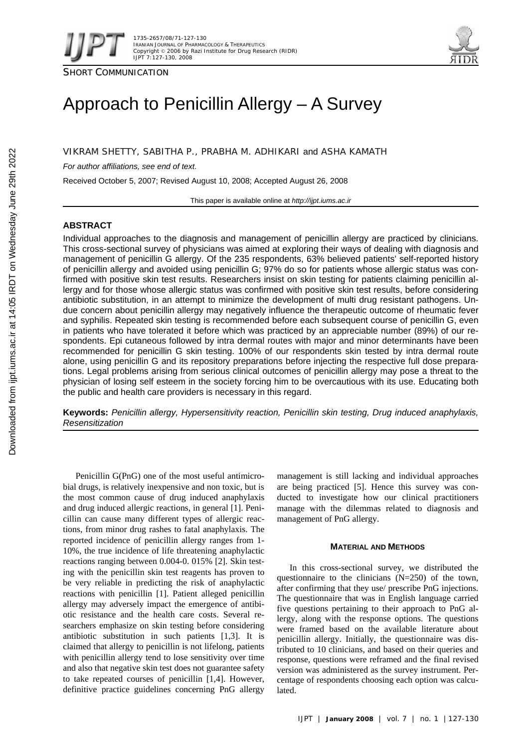

SHORT COMMUNICATION



# Approach to Penicillin Allergy – A Survey

VIKRAM SHETTY, SABITHA P., PRABHA M. ADHIKARI and ASHA KAMATH

*For author affiliations, see end of text.* 

Received October 5, 2007; Revised August 10, 2008; Accepted August 26, 2008

This paper is available online at *http://ijpt.iums.ac.ir*

# **ABSTRACT**

Individual approaches to the diagnosis and management of penicillin allergy are practiced by clinicians. This cross-sectional survey of physicians was aimed at exploring their ways of dealing with diagnosis and management of penicillin G allergy. Of the 235 respondents, 63% believed patients' self-reported history of penicillin allergy and avoided using penicillin G; 97% do so for patients whose allergic status was confirmed with positive skin test results. Researchers insist on skin testing for patients claiming penicillin allergy and for those whose allergic status was confirmed with positive skin test results, before considering antibiotic substitution, in an attempt to minimize the development of multi drug resistant pathogens. Undue concern about penicillin allergy may negatively influence the therapeutic outcome of rheumatic fever and syphilis. Repeated skin testing is recommended before each subsequent course of penicillin G, even in patients who have tolerated it before which was practiced by an appreciable number (89%) of our respondents. Epi cutaneous followed by intra dermal routes with major and minor determinants have been recommended for penicillin G skin testing. 100% of our respondents skin tested by intra dermal route alone, using penicillin G and its repository preparations before injecting the respective full dose preparations. Legal problems arising from serious clinical outcomes of penicillin allergy may pose a threat to the physician of losing self esteem in the society forcing him to be overcautious with its use. Educating both the public and health care providers is necessary in this regard.

**Keywords:** *Penicillin allergy, Hypersensitivity reaction, Penicillin skin testing, Drug induced anaphylaxis, Resensitization* 

Penicillin G(PnG) one of the most useful antimicrobial drugs, is relatively inexpensive and non toxic, but is the most common cause of drug induced anaphylaxis and drug induced allergic reactions, in general [ 1]. Penicillin can cause many different types of allergic reactions, from minor drug rashes to fatal anaphylaxis. The reported incidence of penicillin allergy ranges from 1- 10%, the true incidence of life threatening anaphylactic reactions ranging between 0.004-0. 015% [ 2]. Skin testing with the penicillin skin test reagents has proven to be very reliable in predicting the risk of anaphylactic reactions with penicillin [1]. Patient alleged penicillin allergy may adversely impact the emergence of antibiotic resistance and the health care costs. Several researchers emphasize on skin testing before considering antibiotic substitution in such patients  $[1,3]$ . It is claimed that allergy to penicillin is not lifelong, patients with penicillin allergy tend to lose sensitivity over time and also that negative skin test does not guarantee safety to take repeated courses of penicillin [1,4]. However, definitive practice guidelines concerning PnG allergy

management is still lacking and individual approaches are being practiced [5]. Hence this survey was conducted to investigate how our clinical practitioners manage with the dilemmas related to diagnosis and management of PnG allergy.

## **MATERIAL AND METHODS**

In this cross-sectional survey, we distributed the questionnaire to the clinicians (N=250) of the town, after confirming that they use/ prescribe PnG injections. The questionnaire that was in English language carried five questions pertaining to their approach to PnG allergy, along with the response options. The questions were framed based on the available literature about penicillin allergy. Initially, the questionnaire was distributed to 10 clinicians, and based on their queries and response, questions were reframed and the final revised version was administered as the survey instrument. Percentage of respondents choosing each option was calculated.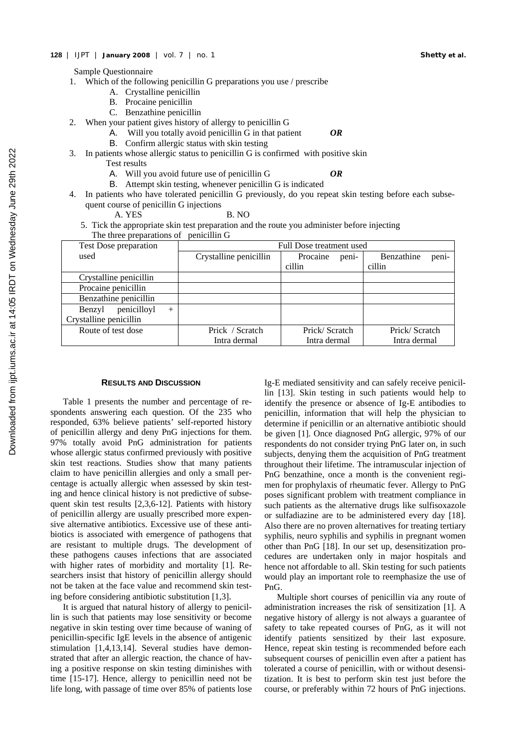Sample Questionnaire

- 1. Which of the following penicillin G preparations you use / prescribe
	- A. Crystalline penicillin
	- B. Procaine penicillin
	- C. Benzathine penicillin
- 2. When your patient gives history of allergy to penicillin G
	- A. Will you totally avoid penicillin G in that patient *OR*
	- B. Confirm allergic status with skin testing
- 3. In patients whose allergic status to penicillin G is confirmed with positive skin
	- Test results
		- A. Will you avoid future use of penicillin G *OR*
		- B. Attempt skin testing, whenever penicillin G is indicated
- 4. In patients who have tolerated penicillin G previously, do you repeat skin testing before each subsequent course of penicillin G injections
	- A. YES B. NO
	- 5. Tick the appropriate skin test preparation and the route you administer before injecting The three preparations of penicillin G

| Test Dose preparation           | Full Dose treatment used |                   |                     |
|---------------------------------|--------------------------|-------------------|---------------------|
| used                            | Crystalline penicillin   | Procaine<br>peni- | Benzathine<br>peni- |
|                                 |                          | cillin            | cillin              |
| Crystalline penicillin          |                          |                   |                     |
| Procaine penicillin             |                          |                   |                     |
| Benzathine penicillin           |                          |                   |                     |
| penicilloyl<br>Benzyl<br>$^{+}$ |                          |                   |                     |
| Crystalline penicillin          |                          |                   |                     |
| Route of test dose              | Prick / Scratch          | Prick/Scratch     | Prick/Scratch       |
|                                 | Intra dermal             | Intra dermal      | Intra dermal        |

# **RESULTS AND DISCUSSION**

Table 1 presents the number and percentage of respondents answering each question. Of the 235 who responded, 63% believe patients' self-reported history of penicillin allergy and deny PnG injections for them. 97% totally avoid PnG administration for patients whose allergic status confirmed previously with positive skin test reactions. Studies show that many patients claim to have penicillin allergies and only a small percentage is actually allergic when assessed by skin testing and hence clinical history is not predictive of subsequent skin test results  $[2,3,6-12]$ . Patients with history of penicillin allergy are usually prescribed more expensive alternative antibiotics. Excessive use of these antibiotics is associated with emergence of pathogens that are resistant to multiple drugs. The development of these pathogens causes infections that are associated with higher rates of morbidity and mortality [1]. Researchers insist that history of penicillin allergy should not be taken at the face value and recommend skin testing before considering antibiotic substitution  $[1,3]$ .

It is argued that natural history of allergy to penicillin is such that patients may lose sensitivity or become negative in skin testing over time because of waning of penicillin-specific IgE levels in the absence of antigenic stimulation [1,4,13,14]. Several studies have demonstrated that after an allergic reaction, the chance of having a positive response on skin testing diminishes with time [15-17]. Hence, allergy to penicillin need not be life long, with passage of time over 85% of patients lose

Ig-E mediated sensitivity and can safely receive penicillin [13]. Skin testing in such patients would help to identify the presence or absence of Ig-E antibodies to penicillin, information that will help the physician to determine if penicillin or an alternative antibiotic should be given [1]. Once diagnosed PnG allergic, 97% of our respondents do not consider trying PnG later on, in such subjects, denying them the acquisition of PnG treatment throughout their lifetime. The intramuscular injection of PnG benzathine, once a month is the convenient regimen for prophylaxis of rheumatic fever. Allergy to PnG poses significant problem with treatment compliance in such patients as the alternative drugs like sulfisoxazole or sulfadiazine are to be administered every day [ 18]. Also there are no proven alternatives for treating tertiary syphilis, neuro syphilis and syphilis in pregnant women other than PnG [ 18]. In our set up, desensitization procedures are undertaken only in major hospitals and hence not affordable to all. Skin testing for such patients would play an important role to reemphasize the use of PnG.

Multiple short courses of penicillin via any route of administration increases the risk of sensitization [1]. A negative history of allergy is not always a guarantee of safety to take repeated courses of PnG, as it will not identify patients sensitized by their last exposure. Hence, repeat skin testing is recommended before each subsequent courses of penicillin even after a patient has tolerated a course of penicillin, with or without desensitization. It is best to perform skin test just before the course, or preferably within 72 hours of PnG injections.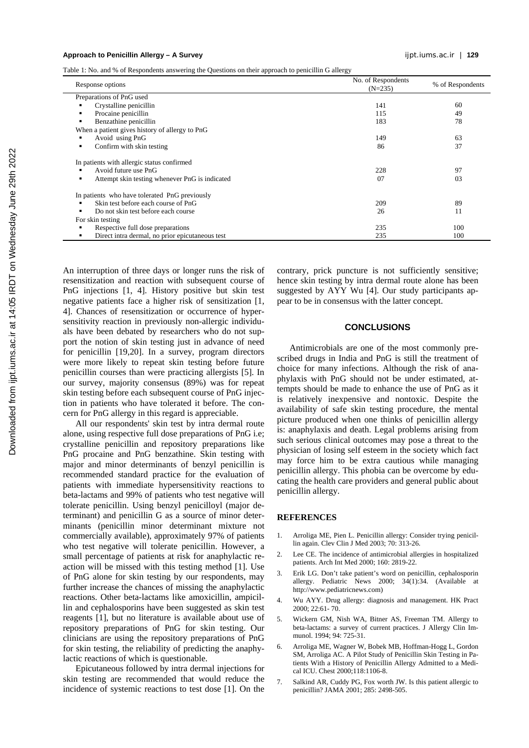## **Approach to Penicillin Allergy – A Survey** ijpt.iums.ac.ir | **129**

Table 1: No. and % of Respondents answering the Questions on their approach to penicillin G allergy

| Response options                                     | No. of Respondents<br>$(N=235)$ | % of Respondents |
|------------------------------------------------------|---------------------------------|------------------|
| Preparations of PnG used                             |                                 |                  |
| Crystalline penicillin                               | 141                             | 60               |
| Procaine penicillin                                  | 115                             | 49               |
| Benzathine penicillin                                | 183                             | 78               |
| When a patient gives history of allergy to PnG       |                                 |                  |
| Avoid using PnG                                      | 149                             | 63               |
| Confirm with skin testing                            | 86                              | 37               |
| In patients with allergic status confirmed           |                                 |                  |
| Avoid future use PnG                                 | 228                             | 97               |
| Attempt skin testing whenever PnG is indicated       | 07                              | 03               |
| In patients who have tolerated PnG previously        |                                 |                  |
| Skin test before each course of PnG                  | 209                             | 89               |
| Do not skin test before each course                  | 26                              | 11               |
| For skin testing                                     |                                 |                  |
| Respective full dose preparations                    | 235                             | 100              |
| Direct intra dermal, no prior epicutaneous test<br>٠ | 235                             | 100              |

An interruption of three days or longer runs the risk of resensitization and reaction with subsequent course of PnG injections [1, 4]. History positive but skin test negative patients face a higher risk of sensitization [1, 4]. Chances of resensitization or occurrence of hypersensitivity reaction in previously non-allergic individuals have been debated by researchers who do not support the notion of skin testing just in advance of need for penicillin [19,20]. In a survey, program directors were more likely to repeat skin testing before future penicillin courses than were practicing allergists [5]. In our survey, majority consensus (89%) was for repeat skin testing before each subsequent course of PnG injection in patients who have tolerated it before. The concern for PnG allergy in this regard is appreciable.

All our respondents' skin test by intra dermal route alone, using respective full dose preparations of PnG i.e; crystalline penicillin and repository preparations like PnG procaine and PnG benzathine. Skin testing with major and minor determinants of benzyl penicillin is recommended standard practice for the evaluation of patients with immediate hypersensitivity reactions to beta-lactams and 99% of patients who test negative will tolerate penicillin. Using benzyl penicilloyl (major determinant) and penicillin G as a source of minor determinants (penicillin minor determinant mixture not commercially available), approximately 97% of patients who test negative will tolerate penicillin. However, a small percentage of patients at risk for anaphylactic reaction will be missed with this testing method [1]. Use of PnG alone for skin testing by our respondents, may further increase the chances of missing the anaphylactic reactions. Other beta-lactams like amoxicillin, ampicillin and cephalosporins have been suggested as skin test reagents [1], but no literature is available about use of repository preparations of PnG for skin testing. Our clinicians are using the repository preparations of PnG for skin testing, the reliability of predicting the anaphylactic reactions of which is questionable.

Epicutaneous followed by intra dermal injections for skin testing are recommended that would reduce the incidence of systemic reactions to test dose [1]. On the

contrary, prick puncture is not sufficiently sensitive; hence skin testing by intra dermal route alone has been suggested by AYY Wu [4]. Our study participants appear to be in consensus with the latter concept.

# **CONCLUSIONS**

Antimicrobials are one of the most commonly prescribed drugs in India and PnG is still the treatment of choice for many infections. Although the risk of anaphylaxis with PnG should not be under estimated, attempts should be made to enhance the use of PnG as it is relatively inexpensive and nontoxic. Despite the availability of safe skin testing procedure, the mental picture produced when one thinks of penicillin allergy is: anaphylaxis and death. Legal problems arising from such serious clinical outcomes may pose a threat to the physician of losing self esteem in the society which fact may force him to be extra cautious while managing penicillin allergy. This phobia can be overcome by educating the health care providers and general public about penicillin allergy.

## **REFERENCES**

- 1. Arroliga ME, Pien L. Penicillin allergy: Consider trying penicillin again. Clev Clin J Med 2003; 70: 313-26.
- 2. Lee CE. The incidence of antimicrobial allergies in hospitalized patients. Arch Int Med 2000; 160: 2819-22.
- 3. Erik LG. Don't take patient's word on penicillin, cephalosporin allergy. Pediatric News 2000; 34(1):34. (Available at http://www.pediatricnews.com)
- 4. Wu AYY. Drug allergy: diagnosis and management. HK Pract 2000; 22:61- 70.
- 5. Wickern GM, Nish WA, Bitner AS, Freeman TM. Allergy to beta-lactams: a survey of current practices. J Allergy Clin Immunol. 1994; 94: 725-31.
- 6. Arroliga ME, Wagner W, Bobek MB, Hoffman-Hogg L, Gordon SM, Arroliga AC. A Pilot Study of Penicillin Skin Testing in Patients With a History of Penicillin Allergy Admitted to a Medical ICU. Chest 2000;118:1106-8.
- 7. Salkind AR, Cuddy PG, Fox worth JW. Is this patient allergic to penicillin? JAMA 2001; 285: 2498-505.